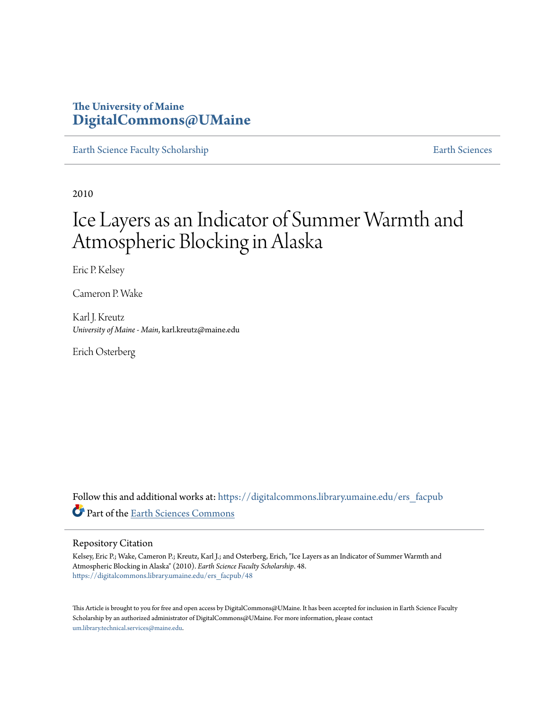### **The University of Maine [DigitalCommons@UMaine](https://digitalcommons.library.umaine.edu?utm_source=digitalcommons.library.umaine.edu%2Fers_facpub%2F48&utm_medium=PDF&utm_campaign=PDFCoverPages)**

[Earth Science Faculty Scholarship](https://digitalcommons.library.umaine.edu/ers_facpub?utm_source=digitalcommons.library.umaine.edu%2Fers_facpub%2F48&utm_medium=PDF&utm_campaign=PDFCoverPages) **[Earth Sciences](https://digitalcommons.library.umaine.edu/ers?utm_source=digitalcommons.library.umaine.edu%2Fers_facpub%2F48&utm_medium=PDF&utm_campaign=PDFCoverPages)** 

2010

# Ice Layers as an Indicator of Summer Warmth and Atmospheric Blocking in Alaska

Eric P. Kelsey

Cameron P. Wake

Karl J. Kreutz *University of Maine - Main*, karl.kreutz@maine.edu

Erich Osterberg

Follow this and additional works at: [https://digitalcommons.library.umaine.edu/ers\\_facpub](https://digitalcommons.library.umaine.edu/ers_facpub?utm_source=digitalcommons.library.umaine.edu%2Fers_facpub%2F48&utm_medium=PDF&utm_campaign=PDFCoverPages) Part of the [Earth Sciences Commons](http://network.bepress.com/hgg/discipline/153?utm_source=digitalcommons.library.umaine.edu%2Fers_facpub%2F48&utm_medium=PDF&utm_campaign=PDFCoverPages)

#### Repository Citation

Kelsey, Eric P.; Wake, Cameron P.; Kreutz, Karl J.; and Osterberg, Erich, "Ice Layers as an Indicator of Summer Warmth and Atmospheric Blocking in Alaska" (2010). *Earth Science Faculty Scholarship*. 48. [https://digitalcommons.library.umaine.edu/ers\\_facpub/48](https://digitalcommons.library.umaine.edu/ers_facpub/48?utm_source=digitalcommons.library.umaine.edu%2Fers_facpub%2F48&utm_medium=PDF&utm_campaign=PDFCoverPages)

This Article is brought to you for free and open access by DigitalCommons@UMaine. It has been accepted for inclusion in Earth Science Faculty Scholarship by an authorized administrator of DigitalCommons@UMaine. For more information, please contact [um.library.technical.services@maine.edu](mailto:um.library.technical.services@maine.edu).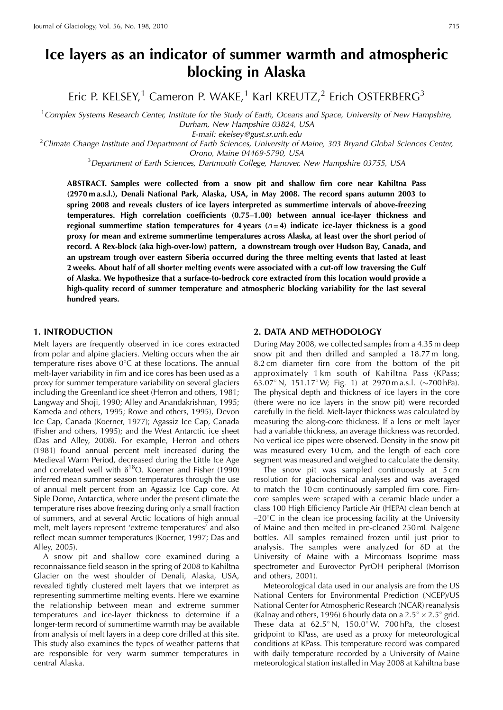## Ice layers as an indicator of summer warmth and atmospheric blocking in Alaska

Eric P. KELSEY,<sup>1</sup> Cameron P. WAKE,<sup>1</sup> Karl KREUTZ,<sup>2</sup> Erich OSTERBERG<sup>3</sup>

 $1$ Complex Systems Research Center, Institute for the Study of Earth, Oceans and Space, University of New Hampshire, Durham, New Hampshire 03824, USA

E-mail: ekelsey@gust.sr.unh.edu

<sup>2</sup> Climate Change Institute and Department of Earth Sciences, University of Maine, 303 Bryand Global Sciences Center,

Orono, Maine 04469-5790, USA

<sup>3</sup>Department of Earth Sciences, Dartmouth College, Hanover, New Hampshire 03755, USA

ABSTRACT. Samples were collected from a snow pit and shallow firn core near Kahiltna Pass (2970 ma.s.l.), Denali National Park, Alaska, USA, in May 2008. The record spans autumn 2003 to spring 2008 and reveals clusters of ice layers interpreted as summertime intervals of above-freezing temperatures. High correlation coefficients (0.75-1.00) between annual ice-layer thickness and regional summertime station temperatures for 4 years ( $n=4$ ) indicate ice-layer thickness is a good proxy for mean and extreme summertime temperatures across Alaska, at least over the short period of record. A Rex-block (aka high-over-low) pattern, a downstream trough over Hudson Bay, Canada, and an upstream trough over eastern Siberia occurred during the three melting events that lasted at least 2 weeks. About half of all shorter melting events were associated with a cut-off low traversing the Gulf of Alaska. We hypothesize that a surface-to-bedrock core extracted from this location would provide a high-quality record of summer temperature and atmospheric blocking variability for the last several hundred years.

#### **1. INTRODUCTION**

Melt layers are frequently observed in ice cores extracted from polar and alpine glaciers. Melting occurs when the air temperature rises above  $0^{\circ}$ C at these locations. The annual melt-layer variability in firn and ice cores has been used as a proxy for summer temperature variability on several glaciers including the Greenland ice sheet (Herron and others, 1981; Langway and Shoji, 1990; Alley and Anandakrishnan, 1995; Kameda and others, 1995; Rowe and others, 1995), Devon Ice Cap, Canada (Koerner, 1977); Agassiz Ice Cap, Canada (Fisher and others, 1995); and the West Antarctic ice sheet (Das and Alley, 2008). For example, Herron and others (1981) found annual percent melt increased during the Medieval Warm Period, decreased during the Little Ice Age and correlated well with  $\delta^{18}$ O. Koerner and Fisher (1990) inferred mean summer season temperatures through the use of annual melt percent from an Agassiz Ice Cap core. At Siple Dome, Antarctica, where under the present climate the temperature rises above freezing during only a small fraction of summers, and at several Arctic locations of high annual melt, melt layers represent 'extreme temperatures' and also reflect mean summer temperatures (Koerner, 1997; Das and Alley, 2005).

A snow pit and shallow core examined during a reconnaissance field season in the spring of 2008 to Kahiltna Glacier on the west shoulder of Denali, Alaska, USA, revealed tightly clustered melt layers that we interpret as representing summertime melting events. Here we examine the relationship between mean and extreme summer temperatures and ice-layer thickness to determine if a longer-term record of summertime warmth may be available from analysis of melt layers in a deep core drilled at this site. This study also examines the types of weather patterns that are responsible for very warm summer temperatures in central Alaska.

#### 2. DATA AND METHODOLOGY

During May 2008, we collected samples from a 4.35 m deep snow pit and then drilled and sampled a 18.77 m long, 8.2 cm diameter firn core from the bottom of the pit approximately 1 km south of Kahiltna Pass (KPass; 63.07° N, 151.17° W; Fig. 1) at 2970 m a.s.l. (~700 hPa). The physical depth and thickness of ice layers in the core (there were no ice layers in the snow pit) were recorded carefully in the field. Melt-layer thickness was calculated by measuring the along-core thickness. If a lens or melt layer had a variable thickness, an average thickness was recorded. No vertical ice pipes were observed. Density in the snow pit was measured every 10 cm, and the length of each core segment was measured and weighed to calculate the density.

The snow pit was sampled continuously at 5 cm resolution for glaciochemical analyses and was averaged to match the 10cm continuously sampled firn core. Firncore samples were scraped with a ceramic blade under a class 100 High Efficiency Particle Air (HEPA) clean bench at  $-20^{\circ}$ C in the clean ice processing facility at the University of Maine and then melted in pre-cleaned 250 mL Nalgene bottles. All samples remained frozen until just prior to analysis. The samples were analyzed for  $\delta D$  at the University of Maine with a Mircomass Isoprime mass spectrometer and Eurovector PyrOH peripheral (Morrison and others, 2001).

Meteorological data used in our analysis are from the US National Centers for Environmental Prediction (NCEP)/US National Center for Atmospheric Research (NCAR) reanalysis (Kalnay and others, 1996) 6 hourly data on a  $2.5^{\circ} \times 2.5^{\circ}$  grid. These data at  $62.5^{\circ}$  N,  $150.0^{\circ}$  W,  $700$  hPa, the closest gridpoint to KPass, are used as a proxy for meteorological conditions at KPass. This temperature record was compared with daily temperature recorded by a University of Maine meteorological station installed in May 2008 at Kahiltna base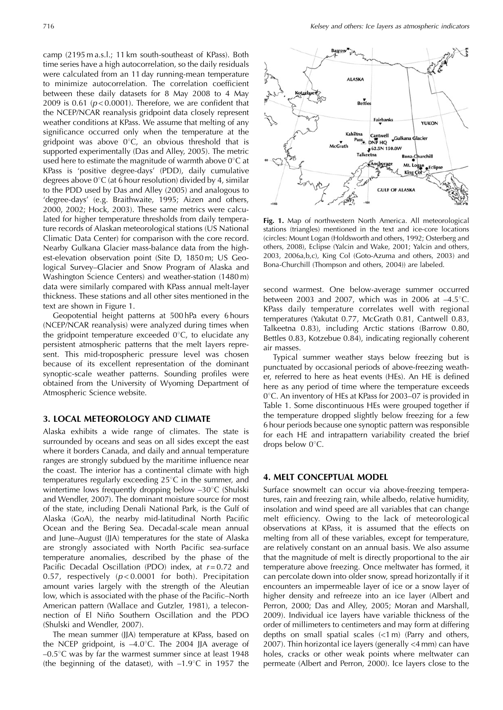camp (2195 m a.s.l.; 11 km south-southeast of KPass). Both time series have a high autocorrelation, so the daily residuals were calculated from an 11 day running-mean temperature to minimize autocorrelation. The correlation coefficient between these daily datasets for 8 May 2008 to 4 May 2009 is 0.61 ( $p < 0.0001$ ). Therefore, we are confident that the NCEP/NCAR reanalysis gridpoint data closely represent weather conditions at KPass. We assume that melting of any significance occurred only when the temperature at the gridpoint was above  $0^{\circ}C$ , an obvious threshold that is supported experimentally (Das and Alley, 2005). The metric used here to estimate the magnitude of warmth above  $0^{\circ}$ C at KPass is 'positive degree-days' (PDD), daily cumulative degrees above  $0^{\circ}$ C (at 6 hour resolution) divided by 4, similar to the PDD used by Das and Alley (2005) and analogous to 'degree-days' (e.g. Braithwaite, 1995; Aizen and others, 2000, 2002; Hock, 2003). These same metrics were calculated for higher temperature thresholds from daily temperature records of Alaskan meteorological stations (US National Climatic Data Center) for comparison with the core record. Nearby Gulkana Glacier mass-balance data from the highest-elevation observation point (Site D, 1850 m; US Geological Survey-Glacier and Snow Program of Alaska and Washington Science Centers) and weather-station (1480m) data were similarly compared with KPass annual melt-layer thickness. These stations and all other sites mentioned in the text are shown in Figure 1.

Geopotential height patterns at 500 hPa every 6 hours (NCEP/NCAR reanalysis) were analyzed during times when the gridpoint temperature exceeded  $0^{\circ}$ C, to elucidate any persistent atmospheric patterns that the melt layers represent. This mid-tropospheric pressure level was chosen because of its excellent representation of the dominant synoptic-scale weather patterns. Sounding profiles were obtained from the University of Wyoming Department of Atmospheric Science website.

#### 3. LOCAL METEOROLOGY AND CLIMATE

Alaska exhibits a wide range of climates. The state is surrounded by oceans and seas on all sides except the east where it borders Canada, and daily and annual temperature ranges are strongly subdued by the maritime influence near the coast. The interior has a continental climate with high temperatures regularly exceeding  $25^{\circ}$ C in the summer, and wintertime lows frequently dropping below  $-30^{\circ}$ C (Shulski and Wendler, 2007). The dominant moisture source for most of the state, including Denali National Park, is the Gulf of Alaska (GoA), the nearby mid-latitudinal North Pacific Ocean and the Bering Sea. Decadal-scale mean annual and June-August (JJA) temperatures for the state of Alaska are strongly associated with North Pacific sea-surface temperature anomalies, described by the phase of the Pacific Decadal Oscillation (PDO) index, at  $r=0.72$  and 0.57, respectively ( $p < 0.0001$  for both). Precipitation amount varies largely with the strength of the Aleutian low, which is associated with the phase of the Pacific-North American pattern (Wallace and Gutzler, 1981), a teleconnection of El Niño Southern Oscillation and the PDO (Shulski and Wendler, 2007).

The mean summer (JJA) temperature at KPass, based on the NCEP gridpoint, is  $-4.0^{\circ}$ C. The 2004 JJA average of  $-0.5^{\circ}$ C was by far the warmest summer since at least 1948 (the beginning of the dataset), with  $-1.9^{\circ}$ C in 1957 the



Fig. 1. Map of northwestern North America. All meteorological stations (triangles) mentioned in the text and ice-core locations (circles: Mount Logan (Holdsworth and others, 1992; Osterberg and others, 2008), Eclipse (Yalcin and Wake, 2001; Yalcin and others, 2003, 2006a, b, c), King Col (Goto-Azuma and others, 2003) and Bona-Churchill (Thompson and others, 2004)) are labeled.

second warmest. One below-average summer occurred between 2003 and 2007, which was in 2006 at  $-4.5^{\circ}$ C. KPass daily temperature correlates well with regional temperatures (Yakutat 0.77, McGrath 0.81, Cantwell 0.83, Talkeetna 0.83), including Arctic stations (Barrow 0.80, Bettles 0.83, Kotzebue 0.84), indicating regionally coherent air masses.

Typical summer weather stays below freezing but is punctuated by occasional periods of above-freezing weather, referred to here as heat events (HEs). An HE is defined here as any period of time where the temperature exceeds 0°C. An inventory of HEs at KPass for 2003–07 is provided in Table 1. Some discontinuous HEs were grouped together if the temperature dropped slightly below freezing for a few 6 hour periods because one synoptic pattern was responsible for each HE and intrapattern variability created the brief drops below 0°C.

#### **4. MELT CONCEPTUAL MODEL**

Surface snowmelt can occur via above-freezing temperatures, rain and freezing rain, while albedo, relative humidity, insolation and wind speed are all variables that can change melt efficiency. Owing to the lack of meteorological observations at KPass, it is assumed that the effects on melting from all of these variables, except for temperature, are relatively constant on an annual basis. We also assume that the magnitude of melt is directly proportional to the air temperature above freezing. Once meltwater has formed, it can percolate down into older snow, spread horizontally if it encounters an impermeable layer of ice or a snow layer of higher density and refreeze into an ice layer (Albert and Perron, 2000; Das and Alley, 2005; Moran and Marshall, 2009). Individual ice layers have variable thickness of the order of millimeters to centimeters and may form at differing depths on small spatial scales  $(<1$  m) (Parry and others, 2007). Thin horizontal ice layers (generally <4 mm) can have holes, cracks or other weak points where meltwater can permeate (Albert and Perron, 2000). Ice layers close to the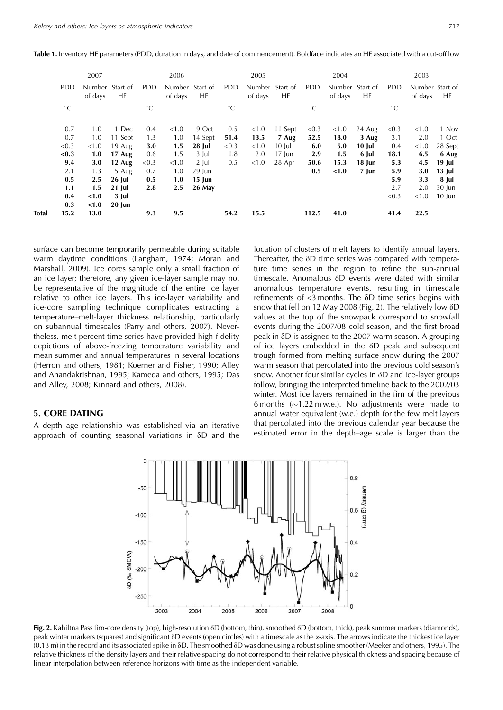|               | ാററ             | ำ∩∩г                               |                    |                 |  |
|---------------|-----------------|------------------------------------|--------------------|-----------------|--|
| 2007          |                 | ZUUJ                               | 2004               | 2003            |  |
| ___<br>$\sim$ | ___<br>$-$<br>. | ___<br>$\sim$ $\sim$ $\sim$<br>$-$ | ___<br>$\sim$<br>. | ___<br>.<br>$-$ |  |

Table 1. Inventory HE parameters (PDD, duration in days, and date of commencement). Boldface indicates an HE associated with a cut-off low

|              |             | 2007             |                       |             | 2006    |                       |             | 2005    |                       |             | 2004    |                       |             | 2003    |                        |
|--------------|-------------|------------------|-----------------------|-------------|---------|-----------------------|-------------|---------|-----------------------|-------------|---------|-----------------------|-------------|---------|------------------------|
|              | PDD.        | of days          | Number Start of<br>HE | PDD.        | of days | Number Start of<br>HE | PDD.        | of days | Number Start of<br>HE | PDD.        | of days | Number Start of<br>HE | PDD.        | of days | Number Start of<br>HE. |
|              | $^{\circ}C$ |                  |                       | $^{\circ}C$ |         |                       | $^{\circ}C$ |         |                       | $^{\circ}C$ |         |                       | $^{\circ}C$ |         |                        |
|              | 0.7         | 1.0              | 1 Dec                 | 0.4         | < 1.0   | 9 Oct                 | 0.5         | < 1.0   | 11 Sept               | < 0.3       | < 1.0   | 24 Aug                | < 0.3       | < 1.0   | 1 Nov                  |
|              | 0.7         | 1.0              | 11 Sept               | 1.3         | 1.0     | 14 Sept               | 51.4        | 13.5    | 7 Aug                 | 52.5        | 18.0    | 3 Aug                 | 3.1         | 2.0     | 1 Oct                  |
|              | < 0.3       | < 1.0            | $19$ Aug              | 3.0         | 1.5     | 28 Jul                | < 0.3       | < 1.0   | $10$ Jul              | 6.0         | 5.0     | 10 Jul                | 0.4         | < 1.0   | 28 Sept                |
|              | < 0.3       | 1.0              | 17 Aug                | 0.6         | 1.5     | $3$ Jul               | 1.8         | 2.0     | $17$ Jun              | 2.9         | 1.5     | 6 Jul                 | 18.1        | 6.5     | 6 Aug                  |
|              | 9.4         | 3.0              | 12 Aug                | < 0.3       | < 1.0   | $2$ Jul               | 0.5         | < 1.0   | 28 Apr                | 50.6        | 15.3    | 18 Jun                | 5.3         | 4.5     | 19 Jul                 |
|              | 2.1         | 1.3              | 5 Aug                 | 0.7         | 1.0     | $29$ Jun              |             |         |                       | 0.5         | < 1.0   | 7 Jun                 | 5.9         | 3.0     | $13$ Jul               |
|              | 0.5         | $2.5\phantom{0}$ | 26 Jul                | 0.5         | 1.0     | $15$ Jun              |             |         |                       |             |         |                       | 5.9         | 3.3     | 8 Jul                  |
|              | 1.1         | 1.5              | $21$ Jul              | 2.8         | 2.5     | 26 May                |             |         |                       |             |         |                       | 2.7         | 2.0     | 30 Jun                 |
|              | 0.4         | < 1.0            | 3 Jul                 |             |         |                       |             |         |                       |             |         |                       | < 0.3       | < 1.0   | $10 \; \text{Jun}$     |
|              | 0.3         | < 1.0            | $20$ Jun              |             |         |                       |             |         |                       |             |         |                       |             |         |                        |
| <b>Total</b> | 15.2        | 13.0             |                       | 9.3         | 9.5     |                       | 54.2        | 15.5    |                       | 112.5       | 41.0    |                       | 41.4        | 22.5    |                        |

surface can become temporarily permeable during suitable warm daytime conditions (Langham, 1974; Moran and Marshall, 2009). Ice cores sample only a small fraction of an ice layer; therefore, any given ice-layer sample may not be representative of the magnitude of the entire ice layer relative to other ice layers. This ice-layer variability and ice-core sampling technique complicates extracting a temperature-melt-layer thickness relationship, particularly on subannual timescales (Parry and others, 2007). Nevertheless, melt percent time series have provided high-fidelity depictions of above-freezing temperature variability and mean summer and annual temperatures in several locations (Herron and others, 1981; Koerner and Fisher, 1990; Alley and Anandakrishnan, 1995; Kameda and others, 1995; Das and Alley, 2008; Kinnard and others, 2008).

#### **5. CORE DATING**

A depth–age relationship was established via an iterative approach of counting seasonal variations in  $\delta D$  and the

location of clusters of melt layers to identify annual layers. Thereafter, the  $\delta D$  time series was compared with temperature time series in the region to refine the sub-annual timescale. Anomalous δD events were dated with similar anomalous temperature events, resulting in timescale refinements of <3 months. The  $\delta$ D time series begins with snow that fell on 12 May 2008 (Fig. 2). The relatively low  $\delta D$ values at the top of the snowpack correspond to snowfall events during the 2007/08 cold season, and the first broad peak in  $\delta$ D is assigned to the 2007 warm season. A grouping of ice layers embedded in the  $\delta D$  peak and subsequent trough formed from melting surface snow during the 2007 warm season that percolated into the previous cold season's snow. Another four similar cycles in δD and ice-layer groups follow, bringing the interpreted timeline back to the 2002/03 winter. Most ice layers remained in the firn of the previous 6 months  $(\sim 1.22 \text{ m} \text{w.e.})$ . No adjustments were made to annual water equivalent (w.e.) depth for the few melt layers that percolated into the previous calendar year because the estimated error in the depth-age scale is larger than the



Fig. 2. Kahiltna Pass firn-core density (top), high-resolution  $\delta D$  (bottom, thin), smoothed  $\delta D$  (bottom, thick), peak summer markers (diamonds), peak winter markers (squares) and significant  $\delta D$  events (open circles) with a timescale as the x-axis. The arrows indicate the thickest ice layer (0.13 m) in the record and its associated spike in  $\delta D$ . The smoothed  $\delta D$  was done using a robust spline smoother (Meeker and others, 1995). The relative thickness of the density layers and their relative spacing do not correspond to their relative physical thickness and spacing because of linear interpolation between reference horizons with time as the independent variable.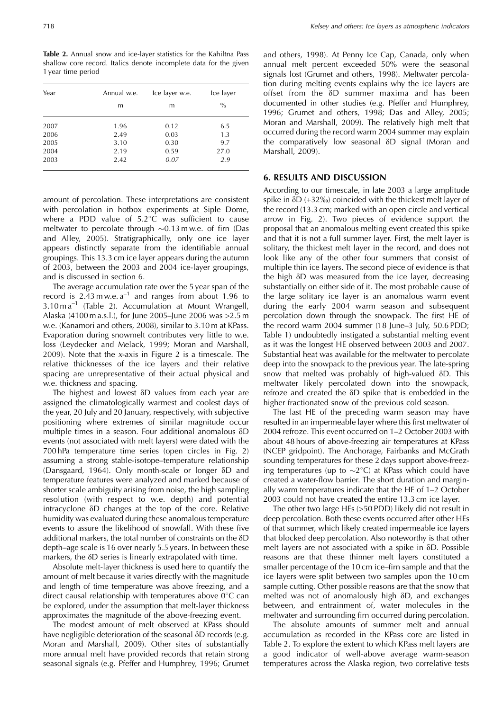Kelsey and others: Ice layers as atmospheric indicators

Table 2. Annual snow and ice-layer statistics for the Kahiltna Pass shallow core record. Italics denote incomplete data for the given 1 year time period

| Year | Annual w.e. | Ice layer w.e. | Ice layer     |  |  |
|------|-------------|----------------|---------------|--|--|
|      | m           | m              | $\frac{0}{0}$ |  |  |
| 2007 | 1.96        | 0.12           | 6.5           |  |  |
| 2006 | 2.49        | 0.03           | 1.3           |  |  |
| 2005 | 3.10        | 0.30           | 9.7           |  |  |
| 2004 | 2.19        | 0.59           | 27.0          |  |  |
| 2003 | 2.42        | 0.07           | 2.9           |  |  |

amount of percolation. These interpretations are consistent with percolation in hotbox experiments at Siple Dome, where a PDD value of 5.2°C was sufficient to cause meltwater to percolate through  $\sim$ 0.13 m w.e. of firn (Das and Alley, 2005). Stratigraphically, only one ice layer appears distinctly separate from the identifiable annual groupings. This 13.3 cm ice layer appears during the autumn of 2003, between the 2003 and 2004 ice-layer groupings, and is discussed in section 6.

The average accumulation rate over the 5 year span of the record is  $2.43$  m w.e.  $a^{-1}$  and ranges from about 1.96 to  $3.10 \text{ m a}^{-1}$  (Table 2). Accumulation at Mount Wrangell, Alaska (4100 m a.s.l.), for June 2005-June 2006 was > 2.5 m w.e. (Kanamori and others, 2008), similar to 3.10 m at KPass. Evaporation during snowmelt contributes very little to w.e. loss (Leydecker and Melack, 1999; Moran and Marshall,  $2009$ ). Note that the x-axis in Figure 2 is a timescale. The relative thicknesses of the ice layers and their relative spacing are unrepresentative of their actual physical and w.e. thickness and spacing.

The highest and lowest  $\delta D$  values from each year are assigned the climatologically warmest and coolest days of the year, 20 July and 20 January, respectively, with subjective positioning where extremes of similar magnitude occur multiple times in a season. Four additional anomalous  $\delta D$ events (not associated with melt layers) were dated with the 700 hPa temperature time series (open circles in Fig. 2) assuming a strong stable-isotope-temperature relationship (Dansgaard, 1964). Only month-scale or longer  $\delta D$  and temperature features were analyzed and marked because of shorter scale ambiguity arising from noise, the high sampling resolution (with respect to w.e. depth) and potential intracyclone  $\delta D$  changes at the top of the core. Relative humidity was evaluated during these anomalous temperature events to assure the likelihood of snowfall. With these five additional markers, the total number of constraints on the  $\delta D$ depth-age scale is 16 over nearly 5.5 years. In between these markers, the  $\delta D$  series is linearly extrapolated with time.

Absolute melt-layer thickness is used here to quantify the amount of melt because it varies directly with the magnitude and length of time temperature was above freezing, and a direct causal relationship with temperatures above  $0^{\circ}$ C can be explored, under the assumption that melt-layer thickness approximates the magnitude of the above-freezing event.

The modest amount of melt observed at KPass should have negligible deterioration of the seasonal  $\delta D$  records (e.g. Moran and Marshall, 2009). Other sites of substantially more annual melt have provided records that retain strong seasonal signals (e.g. Pfeffer and Humphrey, 1996; Grumet

and others, 1998). At Penny Ice Cap, Canada, only when annual melt percent exceeded 50% were the seasonal signals lost (Grumet and others, 1998). Meltwater percolation during melting events explains why the ice layers are offset from the  $\delta D$  summer maxima and has been documented in other studies (e.g. Pfeffer and Humphrey, 1996; Grumet and others, 1998; Das and Alley, 2005; Moran and Marshall, 2009). The relatively high melt that occurred during the record warm 2004 summer may explain the comparatively low seasonal δD signal (Moran and Marshall, 2009).

#### **6. RESULTS AND DISCUSSION**

According to our timescale, in late 2003 a large amplitude spike in  $\delta D$  (+32‰) coincided with the thickest melt layer of the record (13.3 cm; marked with an open circle and vertical arrow in Fig. 2). Two pieces of evidence support the proposal that an anomalous melting event created this spike and that it is not a full summer layer. First, the melt layer is solitary, the thickest melt layer in the record, and does not look like any of the other four summers that consist of multiple thin ice layers. The second piece of evidence is that the high  $\delta D$  was measured from the ice layer, decreasing substantially on either side of it. The most probable cause of the large solitary ice layer is an anomalous warm event during the early 2004 warm season and subsequent percolation down through the snowpack. The first HE of the record warm 2004 summer (18 June-3 July, 50.6 PDD; Table 1) undoubtedly instigated a substantial melting event as it was the longest HE observed between 2003 and 2007. Substantial heat was available for the meltwater to percolate deep into the snowpack to the previous year. The late-spring snow that melted was probably of high-valued  $\delta D$ . This meltwater likely percolated down into the snowpack, refroze and created the δD spike that is embedded in the higher fractionated snow of the previous cold season.

The last HE of the preceding warm season may have resulted in an impermeable layer where this first meltwater of 2004 refroze. This event occurred on 1-2 October 2003 with about 48 hours of above-freezing air temperatures at KPass (NCEP gridpoint). The Anchorage, Fairbanks and McGrath sounding temperatures for these 2 days support above-freezing temperatures (up to  $\sim$ 2°C) at KPass which could have created a water-flow barrier. The short duration and marginally warm temperatures indicate that the HE of 1-2 October 2003 could not have created the entire 13.3 cm ice layer.

The other two large HEs (>50 PDD) likely did not result in deep percolation. Both these events occurred after other HEs of that summer, which likely created impermeable ice layers that blocked deep percolation. Also noteworthy is that other melt layers are not associated with a spike in  $\delta D$ . Possible reasons are that these thinner melt layers constituted a smaller percentage of the 10 cm ice-firn sample and that the ice layers were split between two samples upon the 10 cm sample cutting. Other possible reasons are that the snow that melted was not of anomalously high  $\delta D$ , and exchanges between, and entrainment of, water molecules in the meltwater and surrounding firn occurred during percolation.

The absolute amounts of summer melt and annual accumulation as recorded in the KPass core are listed in Table 2. To explore the extent to which KPass melt layers are a good indicator of well-above average warm-season temperatures across the Alaska region, two correlative tests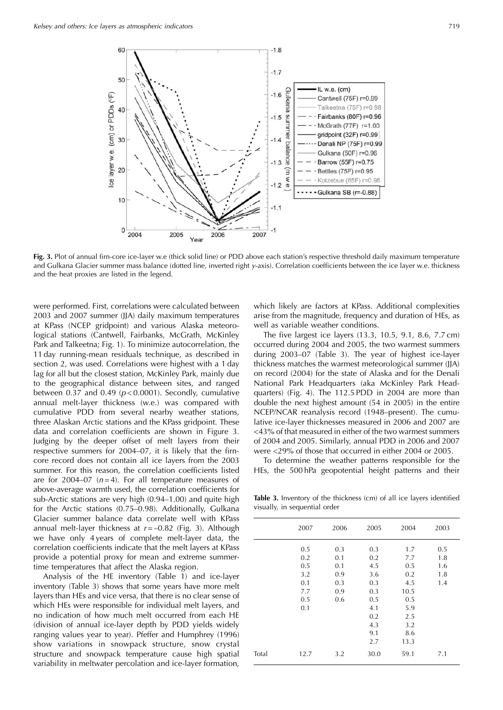

Fig. 3. Plot of annual firn-core ice-layer w.e (thick solid line) or PDD above each station's respective threshold daily maximum temperature and Gulkana Glacier summer mass balance (dotted line, inverted right y-axis). Correlation coefficients between the ice layer w.e. thickness and the heat proxies are listed in the legend.

were performed. First, correlations were calculated between 2003 and 2007 summer (JJA) daily maximum temperatures at KPass (NCEP gridpoint) and various Alaska meteorological stations (Cantwell, Fairbanks, McGrath, McKinley Park and Talkeetna; Fig. 1). To minimize autocorrelation, the 11 day running-mean residuals technique, as described in section 2, was used. Correlations were highest with a 1 day lag for all but the closest station, McKinley Park, mainly due to the geographical distance between sites, and ranged between 0.37 and 0.49 ( $p < 0.0001$ ). Secondly, cumulative annual melt-layer thickness (w.e.) was compared with cumulative PDD from several nearby weather stations, three Alaskan Arctic stations and the KPass gridpoint. These data and correlation coefficients are shown in Figure 3. Judging by the deeper offset of melt layers from their respective summers for 2004-07, it is likely that the firncore record does not contain all ice layers from the 2003 summer. For this reason, the correlation coefficients listed are for 2004–07 ( $n=4$ ). For all temperature measures of above-average warmth used, the correlation coefficients for sub-Arctic stations are very high (0.94–1.00) and quite high for the Arctic stations (0.75–0.98). Additionally, Gulkana Glacier summer balance data correlate well with KPass annual melt-layer thickness at  $r = -0.82$  (Fig. 3). Although we have only 4 years of complete melt-layer data, the correlation coefficients indicate that the melt layers at KPass provide a potential proxy for mean and extreme summertime temperatures that affect the Alaska region.

Analysis of the HE inventory (Table 1) and ice-layer inventory (Table 3) shows that some years have more melt layers than HEs and vice versa, that there is no clear sense of which HEs were responsible for individual melt layers, and no indication of how much melt occurred from each HE (division of annual ice-layer depth by PDD yields widely ranging values year to year). Pfeffer and Humphrey (1996) show variations in snowpack structure, snow crystal structure and snowpack temperature cause high spatial variability in meltwater percolation and ice-layer formation,

which likely are factors at KPass. Additional complexities arise from the magnitude, frequency and duration of HEs, as well as variable weather conditions.

The five largest ice layers (13.3, 10.5, 9.1, 8.6, 7.7 cm) occurred during 2004 and 2005, the two warmest summers during 2003–07 (Table 3). The year of highest ice-layer thickness matches the warmest meteorological summer (JJA) on record (2004) for the state of Alaska and for the Denali National Park Headquarters (aka McKinley Park Headquarters) (Fig. 4). The 112.5 PDD in 2004 are more than double the next highest amount (54 in 2005) in the entire NCEP/NCAR reanalysis record (1948–present). The cumulative ice-layer thicknesses measured in 2006 and 2007 are <43% of that measured in either of the two warmest summers of 2004 and 2005. Similarly, annual PDD in 2006 and 2007 were <29% of those that occurred in either 2004 or 2005.

To determine the weather patterns responsible for the HEs, the 500 hPa geopotential height patterns and their

Table 3. Inventory of the thickness (cm) of all ice layers identified visually, in sequential order

|       | 2007                                                 | 2006                                          | 2005                                                                             | 2004                                                                               | 2003                            |
|-------|------------------------------------------------------|-----------------------------------------------|----------------------------------------------------------------------------------|------------------------------------------------------------------------------------|---------------------------------|
|       | 0.5<br>0.2<br>0.5<br>3.2<br>0.1<br>7.7<br>0.5<br>0.1 | 0.3<br>0.1<br>0.1<br>0.9<br>0.3<br>0.9<br>0.6 | 0.3<br>0.2<br>4.5<br>3.6<br>0.3<br>0.3<br>0.5<br>4.1<br>0.2<br>4.3<br>9.1<br>2.7 | 1.7<br>7.7<br>0.5<br>0.2<br>4.5<br>10.5<br>0.5<br>5.9<br>2.5<br>3.2<br>8.6<br>13.3 | 0.5<br>1.8<br>1.6<br>1.8<br>1.4 |
| Total | 12.7                                                 | 3.2                                           | 30.0                                                                             | 59.1                                                                               | 7.1                             |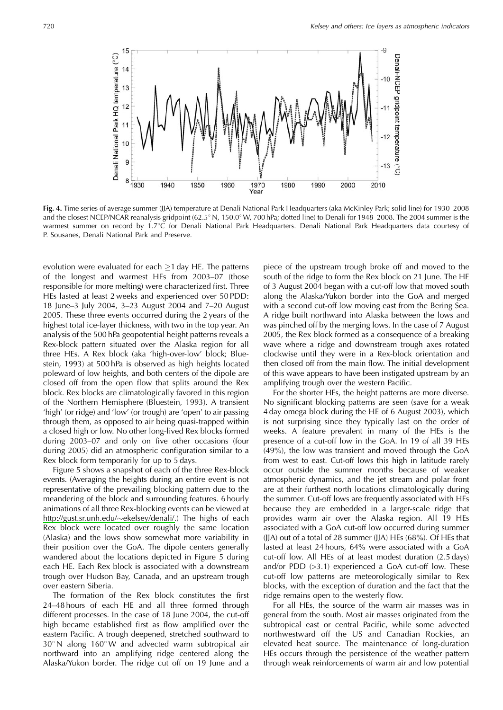

Fig. 4. Time series of average summer (JJA) temperature at Denali National Park Headquarters (aka McKinley Park; solid line) for 1930–2008 and the closest NCEP/NCAR reanalysis gridpoint (62.5° N, 150.0° W, 700 hPa; dotted line) to Denali for 1948-2008. The 2004 summer is the warmest summer on record by 1.7°C for Denali National Park Headquarters. Denali National Park Headquarters data courtesy of P. Sousanes, Denali National Park and Preserve.

evolution were evaluated for each  $\geq$ 1 day HE. The patterns of the longest and warmest HEs from 2003-07 (those responsible for more melting) were characterized first. Three HEs lasted at least 2 weeks and experienced over 50 PDD: 18 June-3 July 2004, 3-23 August 2004 and 7-20 August 2005. These three events occurred during the 2 years of the highest total ice-layer thickness, with two in the top year. An analysis of the 500 hPa geopotential height patterns reveals a Rex-block pattern situated over the Alaska region for all three HEs. A Rex block (aka 'high-over-low' block; Bluestein, 1993) at 500 hPa is observed as high heights located poleward of low heights, and both centers of the dipole are closed off from the open flow that splits around the Rex block. Rex blocks are climatologically favored in this region of the Northern Hemisphere (Bluestein, 1993). A transient 'high' (or ridge) and 'low' (or trough) are 'open' to air passing through them, as opposed to air being quasi-trapped within a closed high or low. No other long-lived Rex blocks formed during 2003-07 and only on five other occasions (four during 2005) did an atmospheric configuration similar to a Rex block form temporarily for up to 5 days.

Figure 5 shows a snapshot of each of the three Rex-block events. (Averaging the heights during an entire event is not representative of the prevailing blocking pattern due to the meandering of the block and surrounding features. 6 hourly animations of all three Rex-blocking events can be viewed at http://gust.sr.unh.edu/~ekelsey/denali/.) The highs of each Rex block were located over roughly the same location (Alaska) and the lows show somewhat more variability in their position over the GoA. The dipole centers generally wandered about the locations depicted in Figure 5 during each HE. Each Rex block is associated with a downstream trough over Hudson Bay, Canada, and an upstream trough over eastern Siberia.

The formation of the Rex block constitutes the first 24-48 hours of each HE and all three formed through different processes. In the case of 18 June 2004, the cut-off high became established first as flow amplified over the eastern Pacific. A trough deepened, stretched southward to 30° N along 160° W and advected warm subtropical air northward into an amplifying ridge centered along the Alaska/Yukon border. The ridge cut off on 19 June and a

piece of the upstream trough broke off and moved to the south of the ridge to form the Rex block on 21 June. The HE of 3 August 2004 began with a cut-off low that moved south along the Alaska/Yukon border into the GoA and merged with a second cut-off low moving east from the Bering Sea. A ridge built northward into Alaska between the lows and was pinched off by the merging lows. In the case of 7 August 2005, the Rex block formed as a consequence of a breaking wave where a ridge and downstream trough axes rotated clockwise until they were in a Rex-block orientation and then closed off from the main flow. The initial development of this wave appears to have been instigated upstream by an amplifying trough over the western Pacific.

For the shorter HEs, the height patterns are more diverse. No significant blocking patterns are seen (save for a weak 4 day omega block during the HE of 6 August 2003), which is not surprising since they typically last on the order of weeks. A feature prevalent in many of the HEs is the presence of a cut-off low in the GoA. In 19 of all 39 HEs (49%), the low was transient and moved through the GoA from west to east. Cut-off lows this high in latitude rarely occur outside the summer months because of weaker atmospheric dynamics, and the jet stream and polar front are at their furthest north locations climatologically during the summer. Cut-off lows are frequently associated with HEs because they are embedded in a larger-scale ridge that provides warm air over the Alaska region. All 19 HEs associated with a GoA cut-off low occurred during summer (JJA) out of a total of 28 summer (JJA) HEs (68%). Of HEs that lasted at least 24 hours, 64% were associated with a GoA cut-off low. All HEs of at least modest duration (2.5 days) and/or PDD  $(>3.1)$  experienced a GoA cut-off low. These cut-off low patterns are meteorologically similar to Rex blocks, with the exception of duration and the fact that the ridge remains open to the westerly flow.

For all HEs, the source of the warm air masses was in general from the south. Most air masses originated from the subtropical east or central Pacific, while some advected northwestward off the US and Canadian Rockies, an elevated heat source. The maintenance of long-duration HEs occurs through the persistence of the weather pattern through weak reinforcements of warm air and low potential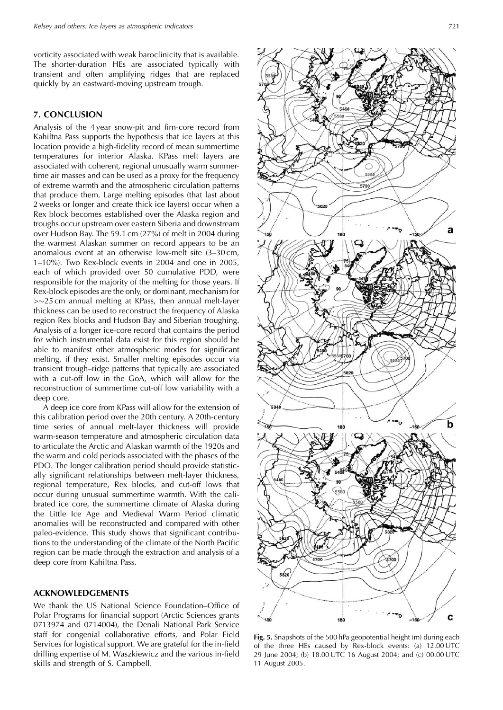vorticity associated with weak baroclinicity that is available. The shorter-duration HEs are associated typically with transient and often amplifying ridges that are replaced quickly by an eastward-moving upstream trough.

#### 7. CONCLUSION

Analysis of the 4year snow-pit and firn-core record from Kahiltna Pass supports the hypothesis that ice layers at this location provide a high-fidelity record of mean summertime temperatures for interior Alaska. KPass melt layers are associated with coherent, regional unusually warm summertime air masses and can be used as a proxy for the frequency of extreme warmth and the atmospheric circulation patterns that produce them. Large melting episodes (that last about 2 weeks or longer and create thick ice layers) occur when a Rex block becomes established over the Alaska region and troughs occur upstream over eastern Siberia and downstream over Hudson Bay. The 59.1 cm (27%) of melt in 2004 during the warmest Alaskan summer on record appears to be an anomalous event at an otherwise low-melt site (3-30 cm,  $1-10\%$ ). Two Rex-block events in 2004 and one in 2005, each of which provided over 50 cumulative PDD, were responsible for the majority of the melting for those years. If Rex-block episodes are the only, or dominant, mechanism for  $>$  $\sim$ 25 cm annual melting at KPass, then annual melt-layer thickness can be used to reconstruct the frequency of Alaska region Rex blocks and Hudson Bay and Siberian troughing. Analysis of a longer ice-core record that contains the period for which instrumental data exist for this region should be able to manifest other atmospheric modes for significant melting, if they exist. Smaller melting episodes occur via transient trough-ridge patterns that typically are associated with a cut-off low in the GoA, which will allow for the reconstruction of summertime cut-off low variability with a deep core.

A deep ice core from KPass will allow for the extension of this calibration period over the 20th century. A 20th-century time series of annual melt-layer thickness will provide warm-season temperature and atmospheric circulation data to articulate the Arctic and Alaskan warmth of the 1920s and the warm and cold periods associated with the phases of the PDO. The longer calibration period should provide statistically significant relationships between melt-layer thickness, regional temperature, Rex blocks, and cut-off lows that occur during unusual summertime warmth. With the calibrated ice core, the summertime climate of Alaska during the Little Ice Age and Medieval Warm Period climatic anomalies will be reconstructed and compared with other paleo-evidence. This study shows that significant contributions to the understanding of the climate of the North Pacific region can be made through the extraction and analysis of a deep core from Kahiltna Pass.

#### **ACKNOWLEDGEMENTS**

We thank the US National Science Foundation-Office of Polar Programs for financial support (Arctic Sciences grants 0713974 and 0714004), the Denali National Park Service staff for congenial collaborative efforts, and Polar Field Services for logistical support. We are grateful for the in-field drilling expertise of M. Waszkiewicz and the various in-field skills and strength of S. Campbell.



Fig. 5. Snapshots of the 500 hPa geopotential height (m) during each of the three HEs caused by Rex-block events: (a) 12.00 UTC 29 June 2004; (b) 18.00 UTC 16 August 2004; and (c) 00.00 UTC 11 August 2005.